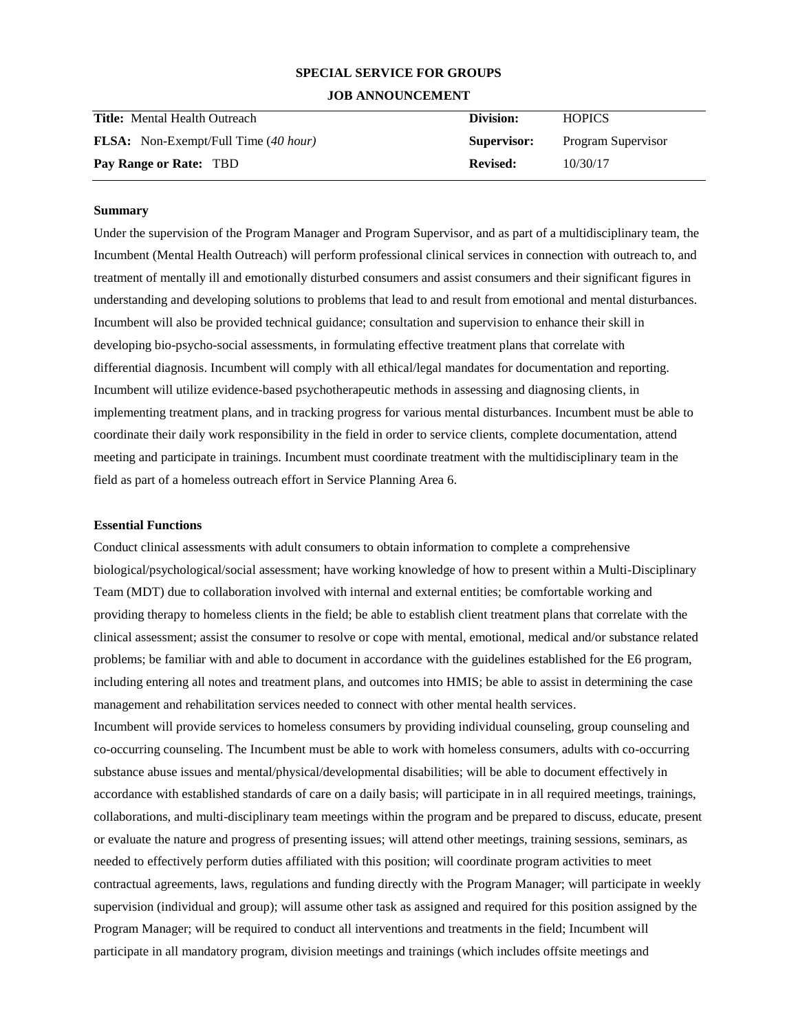# **SPECIAL SERVICE FOR GROUPS**

### **JOB ANNOUNCEMENT**

| <b>Title:</b> Mental Health Outreach        | Division:       | <b>HOPICS</b>      |
|---------------------------------------------|-----------------|--------------------|
| <b>FLSA:</b> Non-Exempt/Full Time (40 hour) | Supervisor:     | Program Supervisor |
| Pay Range or Rate: TBD                      | <b>Revised:</b> | 10/30/17           |

# **Summary**

Under the supervision of the Program Manager and Program Supervisor, and as part of a multidisciplinary team, the Incumbent (Mental Health Outreach) will perform professional clinical services in connection with outreach to, and treatment of mentally ill and emotionally disturbed consumers and assist consumers and their significant figures in understanding and developing solutions to problems that lead to and result from emotional and mental disturbances. Incumbent will also be provided technical guidance; consultation and supervision to enhance their skill in developing bio-psycho-social assessments, in formulating effective treatment plans that correlate with differential diagnosis. Incumbent will comply with all ethical/legal mandates for documentation and reporting. Incumbent will utilize evidence-based psychotherapeutic methods in assessing and diagnosing clients, in implementing treatment plans, and in tracking progress for various mental disturbances. Incumbent must be able to coordinate their daily work responsibility in the field in order to service clients, complete documentation, attend meeting and participate in trainings. Incumbent must coordinate treatment with the multidisciplinary team in the field as part of a homeless outreach effort in Service Planning Area 6.

#### **Essential Functions**

Conduct clinical assessments with adult consumers to obtain information to complete a comprehensive biological/psychological/social assessment; have working knowledge of how to present within a Multi-Disciplinary Team (MDT) due to collaboration involved with internal and external entities; be comfortable working and providing therapy to homeless clients in the field; be able to establish client treatment plans that correlate with the clinical assessment; assist the consumer to resolve or cope with mental, emotional, medical and/or substance related problems; be familiar with and able to document in accordance with the guidelines established for the E6 program, including entering all notes and treatment plans, and outcomes into HMIS; be able to assist in determining the case management and rehabilitation services needed to connect with other mental health services.

Incumbent will provide services to homeless consumers by providing individual counseling, group counseling and co-occurring counseling. The Incumbent must be able to work with homeless consumers, adults with co-occurring substance abuse issues and mental/physical/developmental disabilities; will be able to document effectively in accordance with established standards of care on a daily basis; will participate in in all required meetings, trainings, collaborations, and multi-disciplinary team meetings within the program and be prepared to discuss, educate, present or evaluate the nature and progress of presenting issues; will attend other meetings, training sessions, seminars, as needed to effectively perform duties affiliated with this position; will coordinate program activities to meet contractual agreements, laws, regulations and funding directly with the Program Manager; will participate in weekly supervision (individual and group); will assume other task as assigned and required for this position assigned by the Program Manager; will be required to conduct all interventions and treatments in the field; Incumbent will participate in all mandatory program, division meetings and trainings (which includes offsite meetings and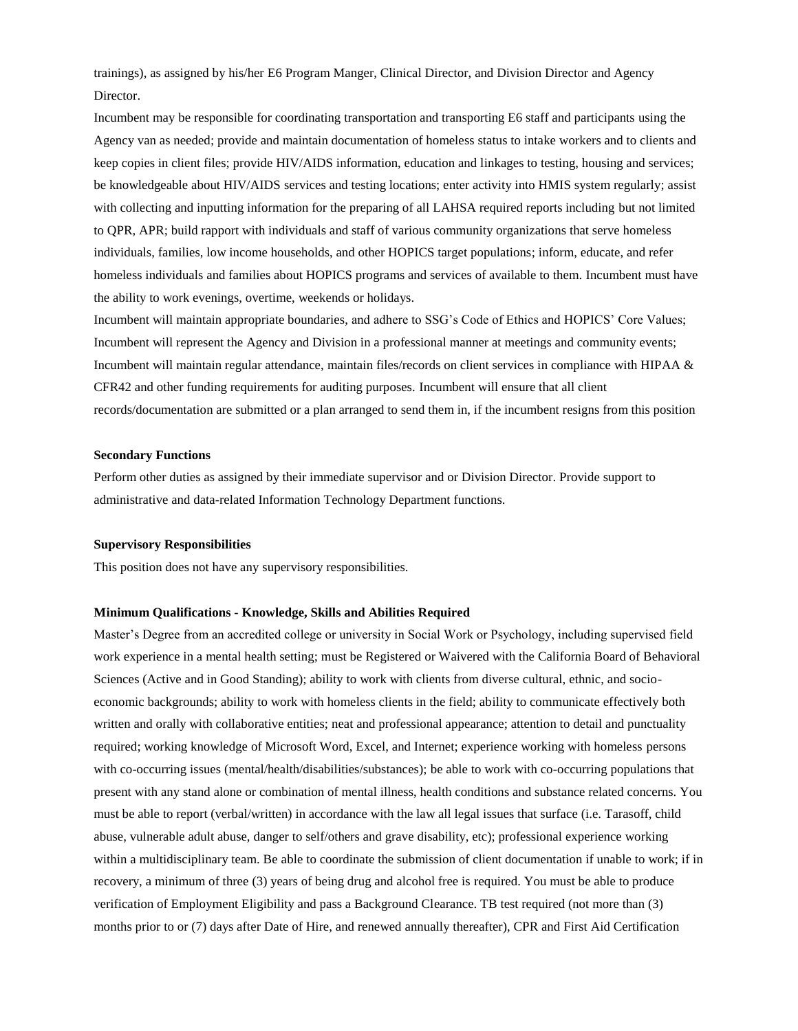trainings), as assigned by his/her E6 Program Manger, Clinical Director, and Division Director and Agency Director.

Incumbent may be responsible for coordinating transportation and transporting E6 staff and participants using the Agency van as needed; provide and maintain documentation of homeless status to intake workers and to clients and keep copies in client files; provide HIV/AIDS information, education and linkages to testing, housing and services; be knowledgeable about HIV/AIDS services and testing locations; enter activity into HMIS system regularly; assist with collecting and inputting information for the preparing of all LAHSA required reports including but not limited to QPR, APR; build rapport with individuals and staff of various community organizations that serve homeless individuals, families, low income households, and other HOPICS target populations; inform, educate, and refer homeless individuals and families about HOPICS programs and services of available to them. Incumbent must have the ability to work evenings, overtime, weekends or holidays.

Incumbent will maintain appropriate boundaries, and adhere to SSG's Code of Ethics and HOPICS' Core Values; Incumbent will represent the Agency and Division in a professional manner at meetings and community events; Incumbent will maintain regular attendance, maintain files/records on client services in compliance with HIPAA & CFR42 and other funding requirements for auditing purposes. Incumbent will ensure that all client records/documentation are submitted or a plan arranged to send them in, if the incumbent resigns from this position

### **Secondary Functions**

Perform other duties as assigned by their immediate supervisor and or Division Director. Provide support to administrative and data-related Information Technology Department functions.

# **Supervisory Responsibilities**

This position does not have any supervisory responsibilities.

#### **Minimum Qualifications - Knowledge, Skills and Abilities Required**

Master's Degree from an accredited college or university in Social Work or Psychology, including supervised field work experience in a mental health setting; must be Registered or Waivered with the California Board of Behavioral Sciences (Active and in Good Standing); ability to work with clients from diverse cultural, ethnic, and socioeconomic backgrounds; ability to work with homeless clients in the field; ability to communicate effectively both written and orally with collaborative entities; neat and professional appearance; attention to detail and punctuality required; working knowledge of Microsoft Word, Excel, and Internet; experience working with homeless persons with co-occurring issues (mental/health/disabilities/substances); be able to work with co-occurring populations that present with any stand alone or combination of mental illness, health conditions and substance related concerns. You must be able to report (verbal/written) in accordance with the law all legal issues that surface (i.e. Tarasoff, child abuse, vulnerable adult abuse, danger to self/others and grave disability, etc); professional experience working within a multidisciplinary team. Be able to coordinate the submission of client documentation if unable to work; if in recovery, a minimum of three (3) years of being drug and alcohol free is required. You must be able to produce verification of Employment Eligibility and pass a Background Clearance. TB test required (not more than (3) months prior to or (7) days after Date of Hire, and renewed annually thereafter), CPR and First Aid Certification